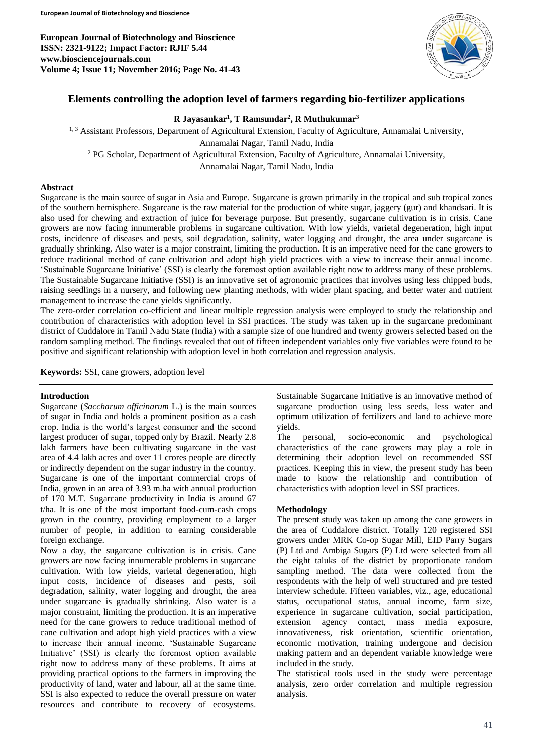

# **Elements controlling the adoption level of farmers regarding bio-fertilizer applications**

## **R Jayasankar<sup>1</sup> , T Ramsundar<sup>2</sup> , R Muthukumar<sup>3</sup>**

<sup>1, 3</sup> Assistant Professors, Department of Agricultural Extension, Faculty of Agriculture, Annamalai University, Annamalai Nagar, Tamil Nadu, India <sup>2</sup> PG Scholar, Department of Agricultural Extension, Faculty of Agriculture, Annamalai University, Annamalai Nagar, Tamil Nadu, India

### **Abstract**

Sugarcane is the main source of sugar in Asia and Europe. Sugarcane is grown primarily in the tropical and sub tropical zones of the southern hemisphere. Sugarcane is the raw material for the production of white sugar, jaggery (gur) and khandsari. It is also used for chewing and extraction of juice for beverage purpose. But presently, sugarcane cultivation is in crisis. Cane growers are now facing innumerable problems in sugarcane cultivation. With low yields, varietal degeneration, high input costs, incidence of diseases and pests, soil degradation, salinity, water logging and drought, the area under sugarcane is gradually shrinking. Also water is a major constraint, limiting the production. It is an imperative need for the cane growers to reduce traditional method of cane cultivation and adopt high yield practices with a view to increase their annual income. 'Sustainable Sugarcane Initiative' (SSI) is clearly the foremost option available right now to address many of these problems. The Sustainable Sugarcane Initiative (SSI) is an innovative set of agronomic practices that involves using less chipped buds, raising seedlings in a nursery, and following new planting methods, with wider plant spacing, and better water and nutrient management to increase the cane yields significantly.

The zero-order correlation co-efficient and linear multiple regression analysis were employed to study the relationship and contribution of characteristics with adoption level in SSI practices. The study was taken up in the sugarcane predominant district of Cuddalore in Tamil Nadu State (India) with a sample size of one hundred and twenty growers selected based on the random sampling method. The findings revealed that out of fifteen independent variables only five variables were found to be positive and significant relationship with adoption level in both correlation and regression analysis.

**Keywords:** SSI, cane growers, adoption level

## **Introduction**

Sugarcane (*Saccharum officinarum* L.) is the main sources of sugar in India and holds a prominent position as a cash crop. India is the world's largest consumer and the second largest producer of sugar, topped only by Brazil. Nearly 2.8 lakh farmers have been cultivating sugarcane in the vast area of 4.4 lakh acres and over 11 crores people are directly or indirectly dependent on the sugar industry in the country. Sugarcane is one of the important commercial crops of India, grown in an area of 3.93 m.ha with annual production of 170 M.T. Sugarcane productivity in India is around 67 t/ha. It is one of the most important food-cum-cash crops grown in the country, providing employment to a larger number of people, in addition to earning considerable foreign exchange.

Now a day, the sugarcane cultivation is in crisis. Cane growers are now facing innumerable problems in sugarcane cultivation. With low yields, varietal degeneration, high input costs, incidence of diseases and pests, soil degradation, salinity, water logging and drought, the area under sugarcane is gradually shrinking. Also water is a major constraint, limiting the production. It is an imperative need for the cane growers to reduce traditional method of cane cultivation and adopt high yield practices with a view to increase their annual income. 'Sustainable Sugarcane Initiative' (SSI) is clearly the foremost option available right now to address many of these problems. It aims at providing practical options to the farmers in improving the productivity of land, water and labour, all at the same time. SSI is also expected to reduce the overall pressure on water resources and contribute to recovery of ecosystems.

Sustainable Sugarcane Initiative is an innovative method of sugarcane production using less seeds, less water and optimum utilization of fertilizers and land to achieve more yields.

The personal, socio-economic and psychological characteristics of the cane growers may play a role in determining their adoption level on recommended SSI practices. Keeping this in view, the present study has been made to know the relationship and contribution of characteristics with adoption level in SSI practices.

## **Methodology**

The present study was taken up among the cane growers in the area of Cuddalore district. Totally 120 registered SSI growers under MRK Co-op Sugar Mill, EID Parry Sugars (P) Ltd and Ambiga Sugars (P) Ltd were selected from all the eight taluks of the district by proportionate random sampling method. The data were collected from the respondents with the help of well structured and pre tested interview schedule. Fifteen variables, viz., age, educational status, occupational status, annual income, farm size, experience in sugarcane cultivation, social participation, extension agency contact, mass media exposure, innovativeness, risk orientation, scientific orientation, economic motivation, training undergone and decision making pattern and an dependent variable knowledge were included in the study.

The statistical tools used in the study were percentage analysis, zero order correlation and multiple regression analysis.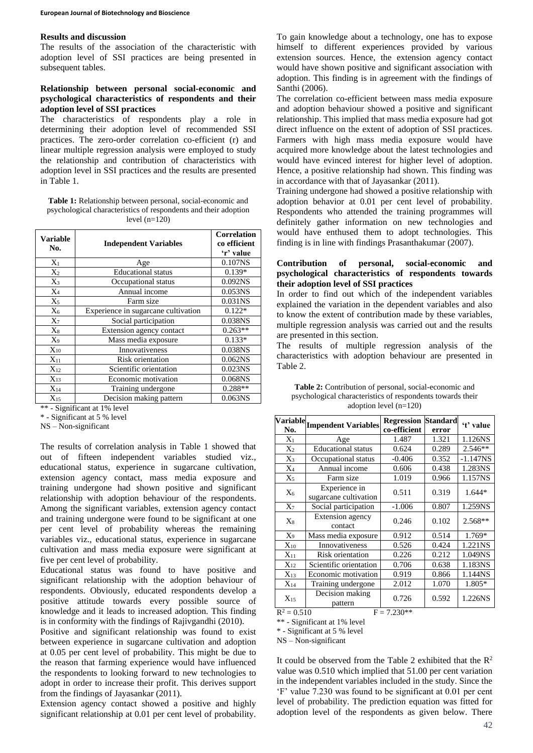#### **Results and discussion**

The results of the association of the characteristic with adoption level of SSI practices are being presented in subsequent tables.

## **Relationship between personal social-economic and psychological characteristics of respondents and their adoption level of SSI practices**

The characteristics of respondents play a role in determining their adoption level of recommended SSI practices. The zero-order correlation co-efficient (r) and linear multiple regression analysis were employed to study the relationship and contribution of characteristics with adoption level in SSI practices and the results are presented in Table 1.

**Table 1:** Relationship between personal, social-economic and psychological characteristics of respondents and their adoption level  $(n=120)$ 

| Variable<br>No.   | <b>Independent Variables</b>        | Correlation<br>co efficient<br>'r' value |
|-------------------|-------------------------------------|------------------------------------------|
| $X_1$             | Age                                 | 0.107NS                                  |
| $X_2$             | <b>Educational</b> status           | $0.139*$                                 |
| $X_3$             | Occupational status                 | 0.092 <sub>NS</sub>                      |
| $X_4$             | Annual income                       | 0.053NS                                  |
| $X_5$             | Farm size                           | 0.031NS                                  |
| $X_6$             | Experience in sugarcane cultivation | $0.122*$                                 |
| $X_7$             | Social participation                | 0.038NS                                  |
| $X_8$             | Extension agency contact            | $0.263**$                                |
| $X_9$             | Mass media exposure                 | $0.133*$                                 |
| $X_{10}$          | Innovativeness                      | 0.038NS                                  |
| $X_{11}$          | Risk orientation                    | 0.062NS                                  |
| $X_{12}$          | Scientific orientation              | 0.023 <sub>NS</sub>                      |
| $X_{13}$          | Economic motivation                 | 0.068NS                                  |
| $\mathrm{X}_{14}$ | Training undergone                  | $0.288**$                                |
| $X_{15}$          | Decision making pattern             | $0.063$ <sub>NS</sub>                    |

\*\* - Significant at 1% level

\* - Significant at 5 % level

NS – Non-significant

The results of correlation analysis in Table 1 showed that out of fifteen independent variables studied viz., educational status, experience in sugarcane cultivation, extension agency contact, mass media exposure and training undergone had shown positive and significant relationship with adoption behaviour of the respondents. Among the significant variables, extension agency contact and training undergone were found to be significant at one per cent level of probability whereas the remaining variables viz., educational status, experience in sugarcane cultivation and mass media exposure were significant at five per cent level of probability.

Educational status was found to have positive and significant relationship with the adoption behaviour of respondents. Obviously, educated respondents develop a positive attitude towards every possible source of knowledge and it leads to increased adoption. This finding is in conformity with the findings of Rajivgandhi (2010).

Positive and significant relationship was found to exist between experience in sugarcane cultivation and adoption at 0.05 per cent level of probability. This might be due to the reason that farming experience would have influenced the respondents to looking forward to new technologies to adopt in order to increase their profit. This derives support from the findings of Jayasankar (2011).

Extension agency contact showed a positive and highly significant relationship at 0.01 per cent level of probability.

To gain knowledge about a technology, one has to expose himself to different experiences provided by various extension sources. Hence, the extension agency contact would have shown positive and significant association with adoption. This finding is in agreement with the findings of Santhi (2006).

The correlation co-efficient between mass media exposure and adoption behaviour showed a positive and significant relationship. This implied that mass media exposure had got direct influence on the extent of adoption of SSI practices. Farmers with high mass media exposure would have acquired more knowledge about the latest technologies and would have evinced interest for higher level of adoption. Hence, a positive relationship had shown. This finding was in accordance with that of Jayasankar (2011).

Training undergone had showed a positive relationship with adoption behavior at 0.01 per cent level of probability. Respondents who attended the training programmes will definitely gather information on new technologies and would have enthused them to adopt technologies. This finding is in line with findings Prasanthakumar (2007).

### **Contribution of personal, social-economic and psychological characteristics of respondents towards their adoption level of SSI practices**

In order to find out which of the independent variables explained the variation in the dependent variables and also to know the extent of contribution made by these variables, multiple regression analysis was carried out and the results are presented in this section.

The results of multiple regression analysis of the characteristics with adoption behaviour are presented in Table 2.

| $\alpha$ uvpuvii iuvui (11–120) |                                        |                                   |                          |            |  |
|---------------------------------|----------------------------------------|-----------------------------------|--------------------------|------------|--|
| <b>Variable</b><br>No.          | <b>Impendent Variables</b>             | <b>Regression</b><br>co-efficient | <b>Standard</b><br>error | 't' value  |  |
| $X_1$                           | Age                                    | 1.487                             | 1.321                    | 1.126NS    |  |
| $X_2$                           | <b>Educational</b> status              | 0.624                             | 0.289                    | $2.546**$  |  |
| $X_3$                           | Occupational status                    | $-0.406$                          | 0.352                    | $-1.147NS$ |  |
| $X_4$                           | Annual income                          | 0.606                             | 0.438                    | 1.283NS    |  |
| $X_5$                           | Farm size                              | 1.019                             | 0.966                    | 1.157NS    |  |
| $X_6$                           | Experience in<br>sugarcane cultivation | 0.511                             | 0.319                    | 1.644*     |  |
| $X_7$                           | Social participation                   | $-1.006$                          | 0.807                    | 1.259NS    |  |
| $X_8$                           | Extension agency<br>contact            | 0.246                             | 0.102                    | 2.568**    |  |
| $X_9$                           | Mass media exposure                    | 0.912                             | 0.514                    | 1.769*     |  |
| $X_{10}$                        | Innovativeness                         | 0.526                             | 0.424                    | 1.221NS    |  |
| $X_{11}$                        | Risk orientation                       | 0.226                             | 0.212                    | 1.049NS    |  |
| $X_{12}$                        | Scientific orientation                 | 0.706                             | 0.638                    | 1.183NS    |  |
| $X_{13}$                        | Economic motivation                    | 0.919                             | 0.866                    | 1.144NS    |  |
| $X_{14}$                        | Training undergone                     | 2.012                             | 1.070                    | 1.805*     |  |
| $X_{15}$                        | Decision making<br>pattern             | 0.726                             | 0.592                    | 1.226NS    |  |

**Table 2:** Contribution of personal, social-economic and psychological characteristics of respondents towards their adoption level  $(n-120)$ 

 $R^2 = 0.510$  F = 7.230\*\*

\*\* - Significant at 1% level

\* - Significant at 5 % level

NS – Non-significant

It could be observed from the Table 2 exhibited that the  $R^2$ value was 0.510 which implied that 51.00 per cent variation in the independent variables included in the study. Since the 'F' value 7.230 was found to be significant at 0.01 per cent level of probability. The prediction equation was fitted for adoption level of the respondents as given below. There